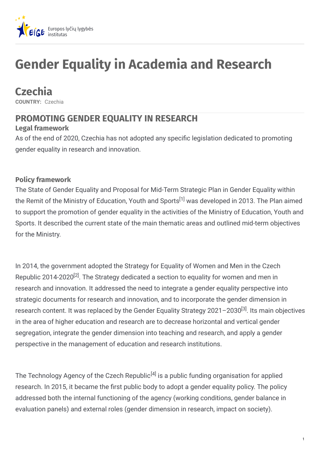

# **Gender Equality in Academia and Research**

# **Czechia**

**COUNTRY:** Czechia

# **PROMOTING GENDER EQUALITY IN RESEARCH**

#### **Legal framework**

As of the end of 2020, Czechia has not adopted any specific legislation dedicated to promoting gender equality in research and innovation.

#### **Policy framework**

The State of Gender Equality and Proposal for Mid-Term Strategic Plan in Gender Equality within the Remit of the Ministry of Education, Youth and Sports<sup>[1]</sup> was developed in 2013. The Plan aimed to support the promotion of gender equality in the activities of the Ministry of Education, Youth and Sports. It described the current state of the main thematic areas and outlined mid-term objectives for the Ministry.

In 2014, the government adopted the Strategy for Equality of Women and Men in the Czech Republic 2014-2020<sup>[2]</sup>. The Strategy dedicated a section to equality for women and men in research and innovation. It addressed the need to integrate a gender equality perspective into strategic documents for research and innovation, and to incorporate the gender dimension in research content. It was replaced by the Gender Equality Strategy 2021–2030<sup>[3]</sup>. Its main objectives in the area of higher education and research are to decrease horizontal and vertical gender segregation, integrate the gender dimension into teaching and research, and apply a gender perspective in the management of education and research institutions.

The Technology Agency of the Czech Republic<sup>[4]</sup> is a public funding organisation for applied research. In 2015, it became the first public body to adopt a gender equality policy. The policy addressed both the internal functioning of the agency (working conditions, gender balance in evaluation panels) and external roles (gender dimension in research, impact on society).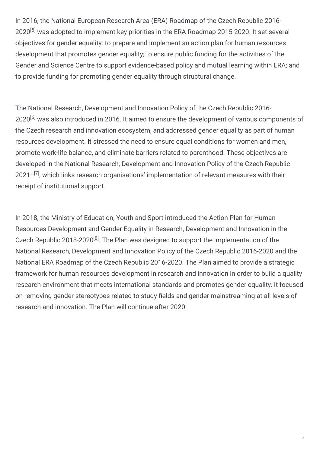In 2016, the National European Research Area (ERA) Roadmap of the Czech Republic 2016- 2020<sup>[5]</sup> was adopted to implement key priorities in the ERA Roadmap 2015-2020. It set several objectives for gender equality: to prepare and implement an action plan for human resources development that promotes gender equality; to ensure public funding for the activities of the Gender and Science Centre to support evidence-based policy and mutual learning within ERA; and to provide funding for promoting gender equality through structural change.

The National Research, Development and Innovation Policy of the Czech Republic 2016- 2020<sup>[6]</sup> was also introduced in 2016. It aimed to ensure the development of various components of the Czech research and innovation ecosystem, and addressed gender equality as part of human resources development. It stressed the need to ensure equal conditions for women and men, promote work-life balance, and eliminate barriers related to parenthood. These objectives are developed in the National Research, Development and Innovation Policy of the Czech Republic 2021+<sup>[7]</sup>, which links research organisations' implementation of relevant measures with their receipt of institutional support.

In 2018, the Ministry of Education, Youth and Sport introduced the Action Plan for Human Resources Development and Gender Equality in Research, Development and Innovation in the Czech Republic 2018-2020<sup>[8]</sup>. The Plan was designed to support the implementation of the National Research, Development and Innovation Policy of the Czech Republic 2016-2020 and the National ERA Roadmap of the Czech Republic 2016-2020. The Plan aimed to provide a strategic framework for human resources development in research and innovation in order to build a quality research environment that meets international standards and promotes gender equality. It focused on removing gender stereotypes related to study fields and gender mainstreaming at all levels of research and innovation. The Plan will continue after 2020.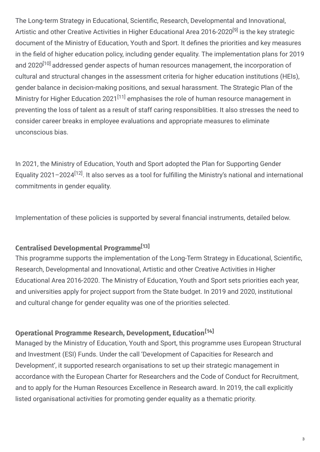The Long-term Strategy in Educational, Scientific, Research, Developmental and Innovational, Artistic and other Creative Activities in Higher Educational Area 2016-2020<sup>[9]</sup> is the key strategic document of the Ministry of Education, Youth and Sport. It defines the priorities and key measures in the field of higher education policy, including gender equality. The implementation plans for 2019 and 2020<sup>[10]</sup> addressed gender aspects of human resources management, the incorporation of cultural and structural changes in the assessment criteria for higher education institutions (HEIs), gender balance in decision-making positions, and sexual harassment. The Strategic Plan of the Ministry for Higher Education 2021<sup>[11]</sup> emphasises the role of human resource management in preventing the loss of talent as a result of staff caring responsiblities. It also stresses the need to consider career breaks in employee evaluations and appropriate measures to eliminate unconscious bias.

In 2021, the Ministry of Education, Youth and Sport adopted the Plan for Supporting Gender Equality 2021–2024 $^{[12]}$ . It also serves as a tool for fulfilling the Ministry's national and international commitments in gender equality.

Implementation of these policies is supported by several financial instruments, detailed below.

## **Centralised Developmental Programme [13]**

This programme supports the implementation of the Long-Term Strategy in Educational, Scientific, Research, Developmental and Innovational, Artistic and other Creative Activities in Higher Educational Area 2016-2020. The Ministry of Education, Youth and Sport sets priorities each year, and universities apply for project support from the State budget. In 2019 and 2020, institutional and cultural change for gender equality was one of the priorities selected.

## **Operational Programme Research, Development, Education [14]**

Managed by the Ministry of Education, Youth and Sport, this programme uses European Structural and Investment (ESI) Funds. Under the call 'Development of Capacities for Research and Development', it supported research organisations to set up their strategic management in accordance with the European Charter for Researchers and the Code of Conduct for Recruitment, and to apply for the Human Resources Excellence in Research award. In 2019, the call explicitly listed organisational activities for promoting gender equality as a thematic priority.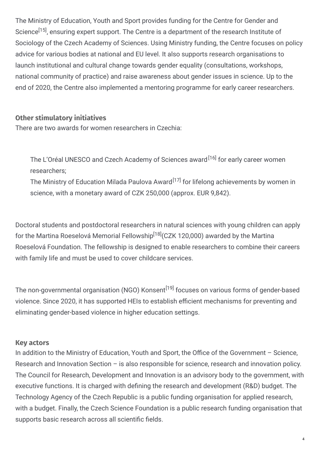The Ministry of Education, Youth and Sport provides funding for the Centre for Gender and Science<sup>[15]</sup>, ensuring expert support. The Centre is a department of the research Institute of Sociology of the Czech Academy of Sciences. Using Ministry funding, the Centre focuses on policy advice for various bodies at national and EU level. It also supports research organisations to launch institutional and cultural change towards gender equality (consultations, workshops, national community of practice) and raise awareness about gender issues in science. Up to the end of 2020, the Centre also implemented a mentoring programme for early career researchers.

#### **Other stimulatory initiatives**

There are two awards for women researchers in Czechia:

The L'Oréal UNESCO and Czech Academy of Sciences award<sup>[16]</sup> for early career women researchers;

The Ministry of Education Milada Paulova Award<sup>[17]</sup> for lifelong achievements by women in science, with a monetary award of CZK 250,000 (approx. EUR 9,842).

Doctoral students and postdoctoral researchers in natural sciences with young children can apply for the Martina Roeselová Memorial Fellowship<sup>[18]</sup>(CZK 120,000) awarded by the Martina Roeselová Foundation. The fellowship is designed to enable researchers to combine their careers with family life and must be used to cover childcare services.

The non-governmental organisation (NGO) Konsent<sup>[19]</sup> focuses on various forms of gender-based violence. Since 2020, it has supported HEIs to establish efficient mechanisms for preventing and eliminating gender-based violence in higher education settings.

#### **Key actors**

In addition to the Ministry of Education, Youth and Sport, the Office of the Government  $-$  Science, Research and Innovation Section – is also responsible for science, research and innovation policy. The Council for Research, Development and Innovation is an advisory body to the government, with executive functions. It is charged with defining the research and development (R&D) budget. The Technology Agency of the Czech Republic is a public funding organisation for applied research, with a budget. Finally, the Czech Science Foundation is a public research funding organisation that supports basic research across all scientific fields.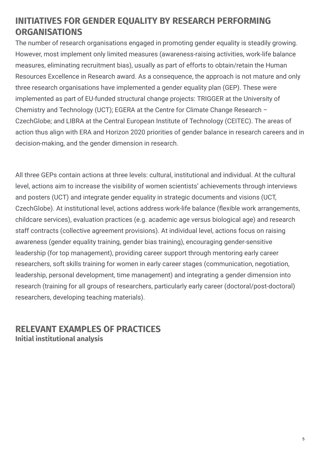## **INITIATIVES FOR GENDER EQUALITY BY RESEARCH PERFORMING ORGANISATIONS**

The number of research organisations engaged in promoting gender equality is steadily growing. However, most implement only limited measures (awareness-raising activities, work-life balance measures, eliminating recruitment bias), usually as part of efforts to obtain/retain the Human Resources Excellence in Research award. As a consequence, the approach is not mature and only three research organisations have implemented a gender equality plan (GEP). These were implemented as part of EU-funded structural change projects: TRIGGER at the University of Chemistry and Technology (UCT); EGERA at the Centre for Climate Change Research – CzechGlobe; and LIBRA at the Central European Institute of Technology (CEITEC). The areas of action thus align with ERA and Horizon 2020 priorities of gender balance in research careers and in decision-making, and the gender dimension in research.

All three GEPs contain actions at three levels: cultural, institutional and individual. At the cultural level, actions aim to increase the visibility of women scientists' achievements through interviews and posters (UCT) and integrate gender equality in strategic documents and visions (UCT, CzechGlobe). At institutional level, actions address work-life balance (flexible work arrangements, childcare services), evaluation practices (e.g. academic age versus biological age) and research staff contracts (collective agreement provisions). At individual level, actions focus on raising awareness (gender equality training, gender bias training), encouraging gender-sensitive leadership (for top management), providing career support through mentoring early career researchers, soft skills training for women in early career stages (communication, negotiation, leadership, personal development, time management) and integrating a gender dimension into research (training for all groups of researchers, particularly early career (doctoral/post-doctoral) researchers, developing teaching materials).

## **RELEVANT EXAMPLES OF PRACTICES Initial institutional analysis**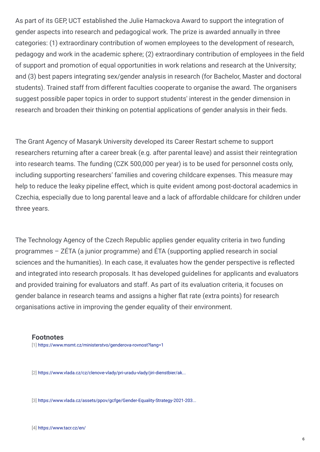As part of its GEP, UCT established the Julie Hamackova Award to support the integration of gender aspects into research and pedagogical work. The prize is awarded annually in three categories: (1) extraordinary contribution of women employees to the development of research, pedagogy and work in the academic sphere; (2) extraordinary contribution of employees in the field of support and promotion of equal opportunities in work relations and research at the University; and (3) best papers integrating sex/gender analysis in research (for Bachelor, Master and doctoral students). Trained staff from different faculties cooperate to organise the award. The organisers suggest possible paper topics in order to support students' interest in the gender dimension in research and broaden their thinking on potential applications of gender analysis in their fieds.

The Grant Agency of Masaryk University developed its Career Restart scheme to support researchers returning after a career break (e.g. after parental leave) and assist their reintegration into research teams. The funding (CZK 500,000 per year) is to be used for personnel costs only, including supporting researchers' families and covering childcare expenses. This measure may help to reduce the leaky pipeline effect, which is quite evident among post-doctoral academics in Czechia, especially due to long parental leave and a lack of affordable childcare for children under three years.

The Technology Agency of the Czech Republic applies gender equality criteria in two funding programmes – ZÉTA (a junior programme) and ÉTA (supporting applied research in social sciences and the humanities). In each case, it evaluates how the gender perspective is reflected and integrated into research proposals. It has developed guidelines for applicants and evaluators and provided training for evaluators and staff. As part of its evaluation criteria, it focuses on gender balance in research teams and assigns a higher flat rate (extra points) for research organisations active in improving the gender equality of their environment.

#### **Footnotes**

[1] <https://www.msmt.cz/ministerstvo/genderova-rovnost?lang=1>

[2] [https://www.vlada.cz/cz/clenove-vlady/pri-uradu-vlady/jiri-dienstbier/ak...](https://www.vlada.cz/cz/clenove-vlady/pri-uradu-vlady/jiri-dienstbier/aktualne/vlada-schvalila-vladni-strategii-pro-rovnost-zen-a-muzu-v-ceske-republice-na-leta-2014---2020-124855/)

[3] [https://www.vlada.cz/assets/ppov/gcfge/Gender-Equality-Strategy-2021-203...](https://www.vlada.cz/assets/ppov/gcfge/Gender-Equality-Strategy-2021-2030.pdf)